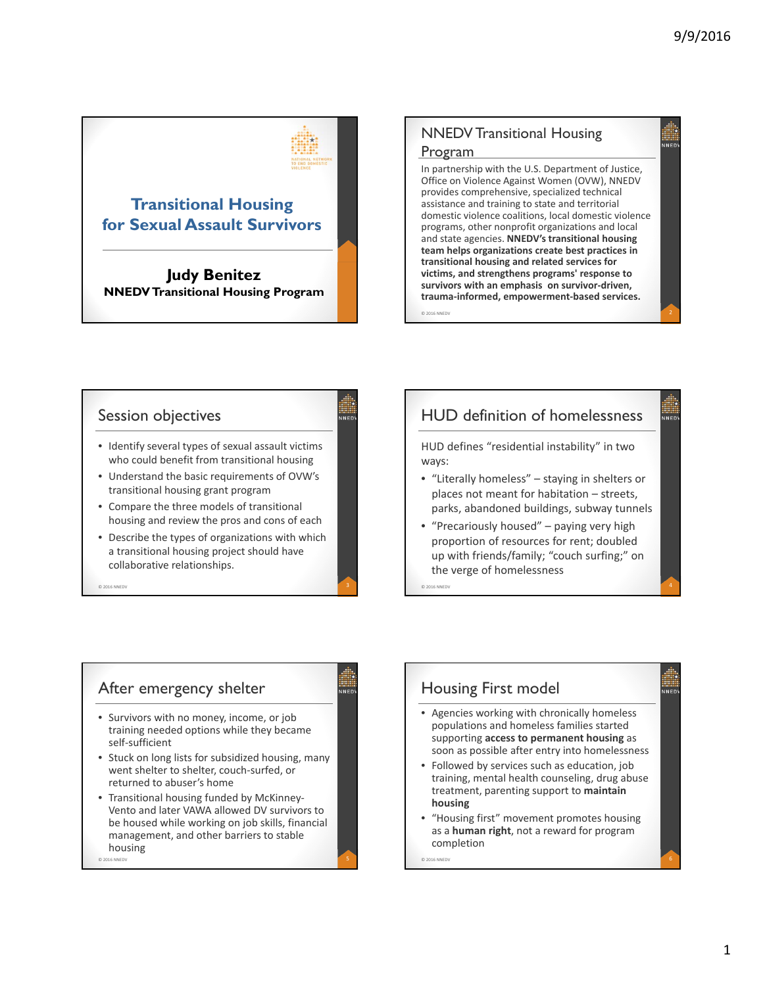

**Judy Benitez NNEDV Transitional Housing Program**

### NNEDV Transitional Housing Program

In partnership with the U.S. Department of Justice, Office on Violence Against Women (OVW), NNEDV provides comprehensive, specialized technical assistance and training to state and territorial domestic violence coalitions, local domestic violence programs, other nonprofit organizations and local and state agencies. **NNEDV's transitional housing team helps organizations create best practices in transitional housing and related services for victims, and strengthens programs' response to survivors with an emphasis on survivor‐driven, trauma‐informed, empowerment‐based services.**

© 2016 NNEDV 2

### Session objectives

- Identify several types of sexual assault victims who could benefit from transitional housing
- Understand the basic requirements of OVW's transitional housing grant program
- Compare the three models of transitional housing and review the pros and cons of each
- Describe the types of organizations with which a transitional housing project should have collaborative relationships.

 $\degree$  2016 NNEDV  $\degree$  3

# HUD definition of homelessness

HUD defines "residential instability" in two ways:

- "Literally homeless" staying in shelters or places not meant for habitation – streets, parks, abandoned buildings, subway tunnels
- "Precariously housed" paying very high proportion of resources for rent; doubled up with friends/family; "couch surfing;" on the verge of homelessness © <sup>2016</sup> NNEDV 4

After emergency shelter • Survivors with no money, income, or job training needed options while they became self‐sufficient • Stuck on long lists for subsidized housing, many went shelter to shelter, couch‐surfed, or returned to abuser's home • Transitional housing funded by McKinney‐

Vento and later VAWA allowed DV survivors to be housed while working on job skills, financial management, and other barriers to stable housing

© 2016 NNEDV  $\begin{bmatrix} 5 \end{bmatrix}$ 

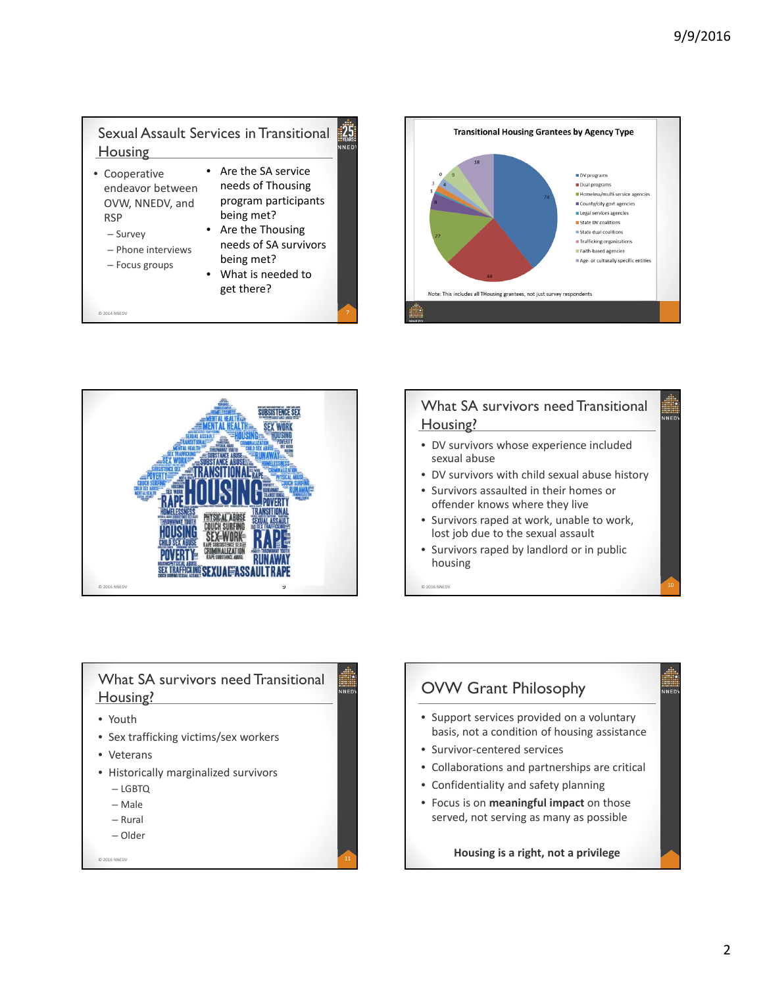#### Sexual Assault Services in Transitional  $\frac{1}{25}$ NED<sup>1</sup> **Housing**

- Cooperative endeavor between OVW, NNEDV, and RSP
	- Survey

– Focus groups

- Are the SA service needs of Thousing program participants being met? • Are the Thousing
- Phone interviews needs of SA survivors being met?

© 2014 NNEDV  $\begin{bmatrix} 7 & 7 \end{bmatrix}$ 

• What is needed to get there?





# What SA survivors need Transitional Housing? • DV survivors whose experience included

- sexual abuse
- DV survivors with child sexual abuse history
- Survivors assaulted in their homes or offender knows where they live
- Survivors raped at work, unable to work, lost job due to the sexual assault
- Survivors raped by landlord or in public housing

 $\degree$  2016 NNEDV 10



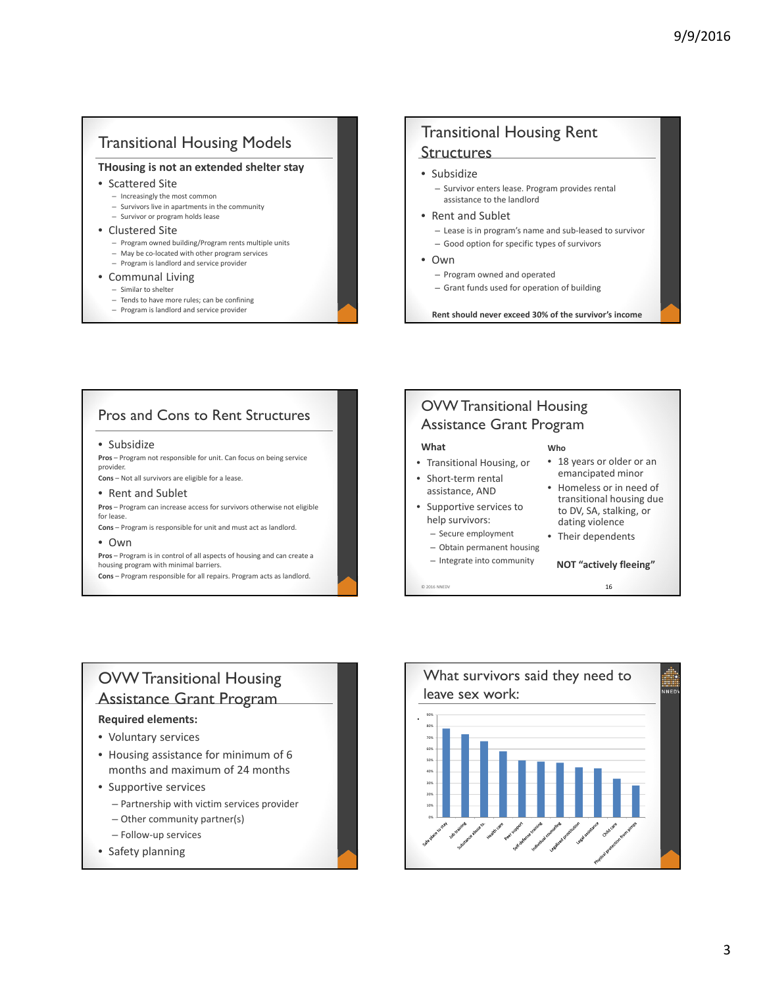### Transitional Housing Models

### **THousing is not an extended shelter stay**

- Scattered Site
	- Increasingly the most common
	- Survivors live in apartments in the community – Survivor or program holds lease
- Clustered Site
- - Program owned building/Program rents multiple units – May be co‐located with other program services
	- Program is landlord and service provider
- Communal Living
	- Similar to shelter
	-
	- Tends to have more rules; can be confining – Program is landlord and service provider

# Transitional Housing Rent **Structures**

- Subsidize
	- Survivor enters lease. Program provides rental assistance to the landlord
- Rent and Sublet
	- Lease is in program's name and sub‐leased to survivor
	- Good option for specific types of survivors
- Own
	- Program owned and operated
	- Grant funds used for operation of building

**Rent should never exceed 30% of the survivor's income**

**Who**

• 18 years or older or an emancipated minor • Homeless or in need of transitional housing due to DV, SA, stalking, or dating violence • Their dependents

**NOT "actively fleeing"**

### Pros and Cons to Rent Structures

#### • Subsidize

**Pros** – Program not responsible for unit. Can focus on being service provider.

**Cons** – Not all survivors are eligible for a lease.

#### • Rent and Sublet

**Pros** – Program can increase access for survivors otherwise not eligible for lease.

**Cons** – Program is responsible for unit and must act as landlord. • Own

**Pros** – Program is in control of all aspects of housing and can create a housing program with minimal barriers.

**Cons** – Program responsible for all repairs. Program acts as landlord.

### OVW Transitional Housing Assistance Grant Program

#### **What**

- Transitional Housing, or
- Short-term rental assistance, AND
- Supportive services to help survivors:
	- Secure employment
	- Obtain permanent housing
	- Integrate into community

 $\degree$  2016 NNEDV 16

# OVW Transitional Housing Assistance Grant Program

#### **Required elements:**

- Voluntary services
- Housing assistance for minimum of 6 months and maximum of 24 months
- Supportive services
	- Partnership with victim services provider
	- Other community partner(s)
	- Follow‐up services
- Safety planning